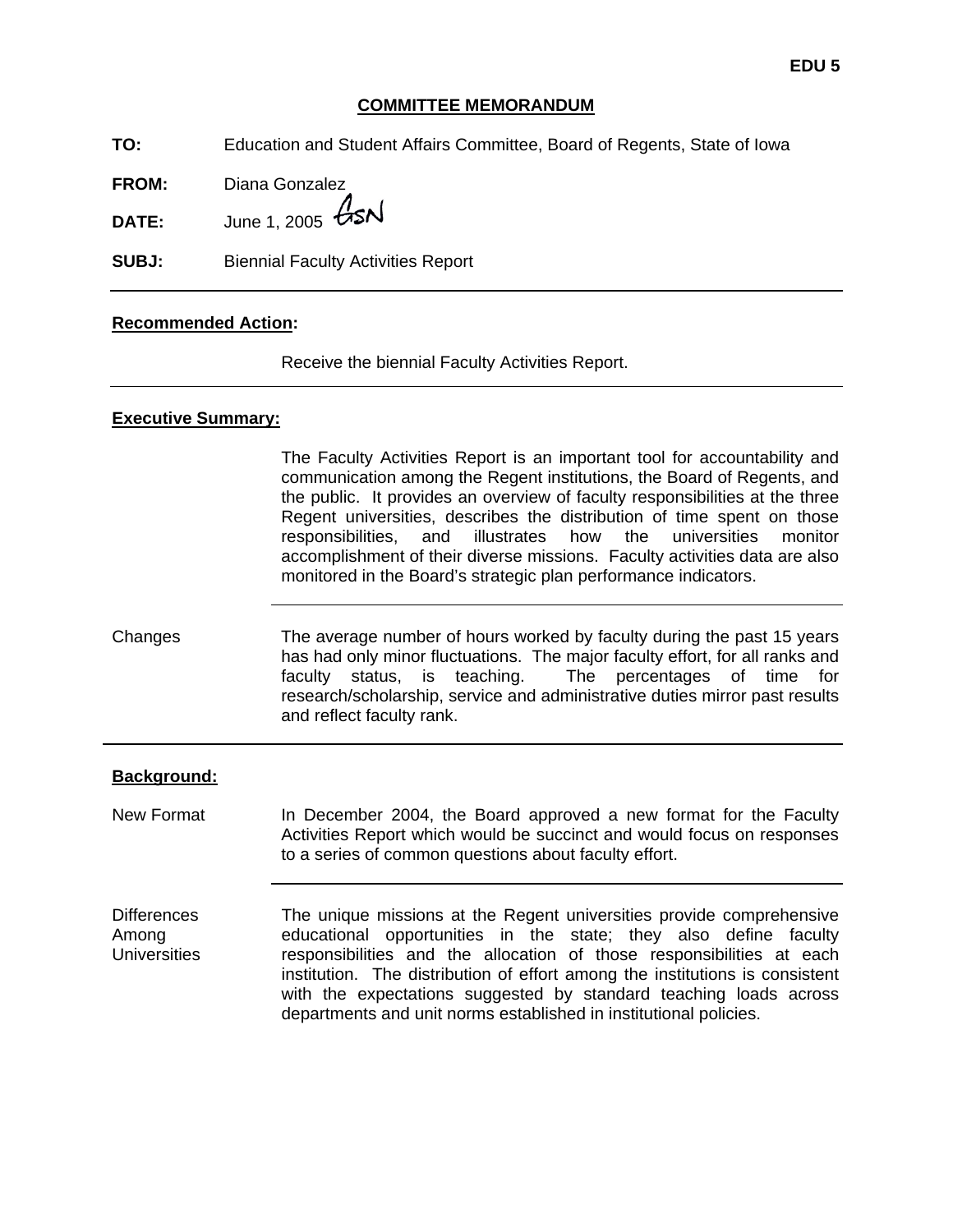# **COMMITTEE MEMORANDUM**

**TO:** Education and Student Affairs Committee, Board of Regents, State of Iowa

**FROM:** Diana Gonzalez

**DATE:** June 1, 2005  $\cancel{GSM}$ 

**SUBJ:** Biennial Faculty Activities Report

#### **Recommended Action:**

Receive the biennial Faculty Activities Report.

### **Executive Summary:**

The Faculty Activities Report is an important tool for accountability and communication among the Regent institutions, the Board of Regents, and the public. It provides an overview of faculty responsibilities at the three Regent universities, describes the distribution of time spent on those responsibilities, and illustrates how the universities monitor accomplishment of their diverse missions. Faculty activities data are also monitored in the Board's strategic plan performance indicators.

Changes The average number of hours worked by faculty during the past 15 years has had only minor fluctuations. The major faculty effort, for all ranks and faculty status, is teaching. The percentages of time for research/scholarship, service and administrative duties mirror past results and reflect faculty rank.

#### **Background:**

New Format In December 2004, the Board approved a new format for the Faculty Activities Report which would be succinct and would focus on responses to a series of common questions about faculty effort.

**Differences** Among **Universities** The unique missions at the Regent universities provide comprehensive educational opportunities in the state; they also define faculty responsibilities and the allocation of those responsibilities at each institution. The distribution of effort among the institutions is consistent with the expectations suggested by standard teaching loads across departments and unit norms established in institutional policies.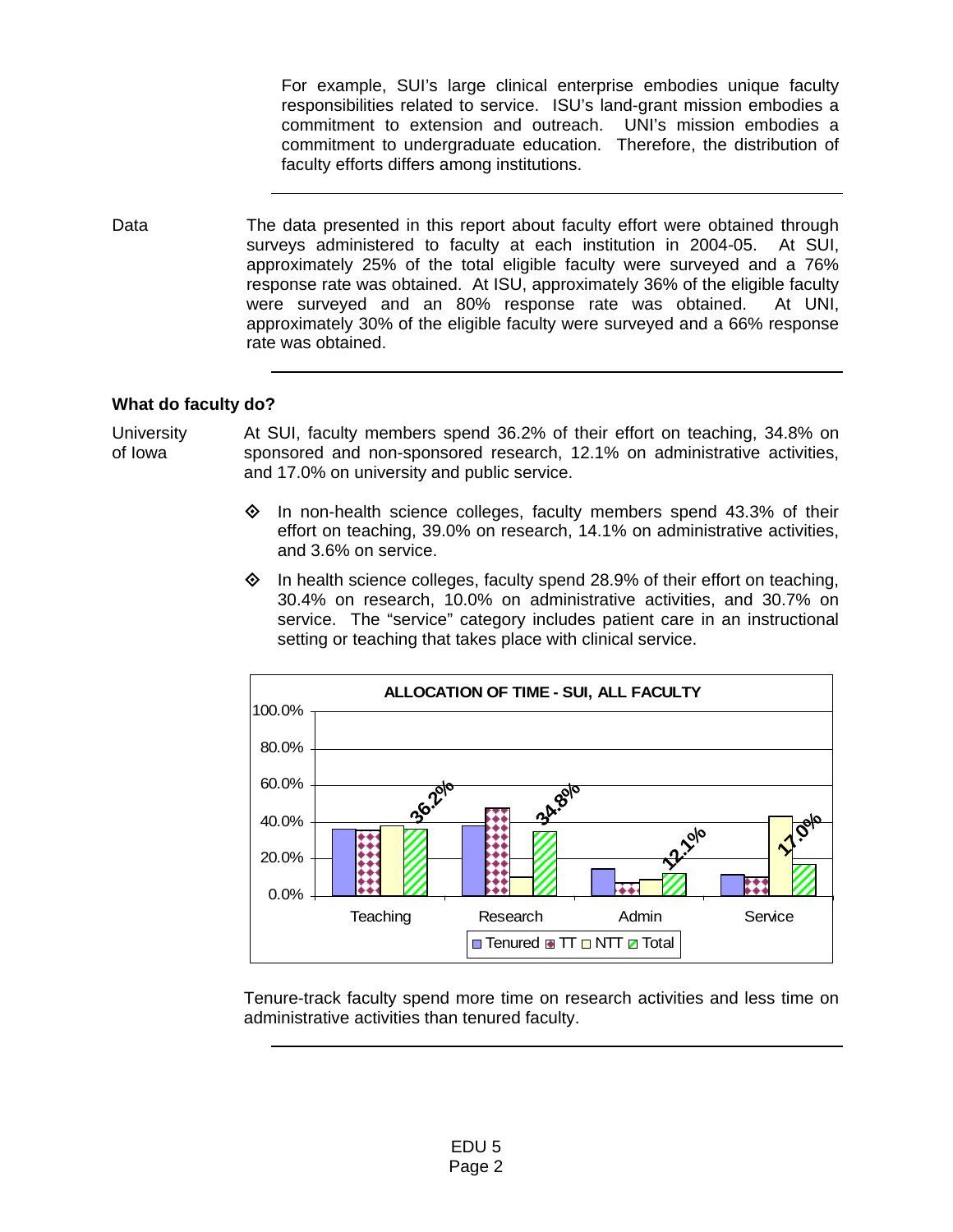For example, SUI's large clinical enterprise embodies unique faculty responsibilities related to service. ISU's land-grant mission embodies a commitment to extension and outreach. UNI's mission embodies a commitment to undergraduate education. Therefore, the distribution of faculty efforts differs among institutions.

Data The data presented in this report about faculty effort were obtained through surveys administered to faculty at each institution in 2004-05. At SUI, approximately 25% of the total eligible faculty were surveyed and a 76% response rate was obtained. At ISU, approximately 36% of the eligible faculty were surveyed and an 80% response rate was obtained. At UNI, approximately 30% of the eligible faculty were surveyed and a 66% response rate was obtained.

# **What do faculty do?**

#### **University** of Iowa At SUI, faculty members spend 36.2% of their effort on teaching, 34.8% on sponsored and non-sponsored research, 12.1% on administrative activities, and 17.0% on university and public service.

- $\Diamond$  In non-health science colleges, faculty members spend 43.3% of their effort on teaching, 39.0% on research, 14.1% on administrative activities, and 3.6% on service.
- $\diamond$  In health science colleges, faculty spend 28.9% of their effort on teaching, 30.4% on research, 10.0% on administrative activities, and 30.7% on service. The "service" category includes patient care in an instructional setting or teaching that takes place with clinical service.



Tenure-track faculty spend more time on research activities and less time on administrative activities than tenured faculty.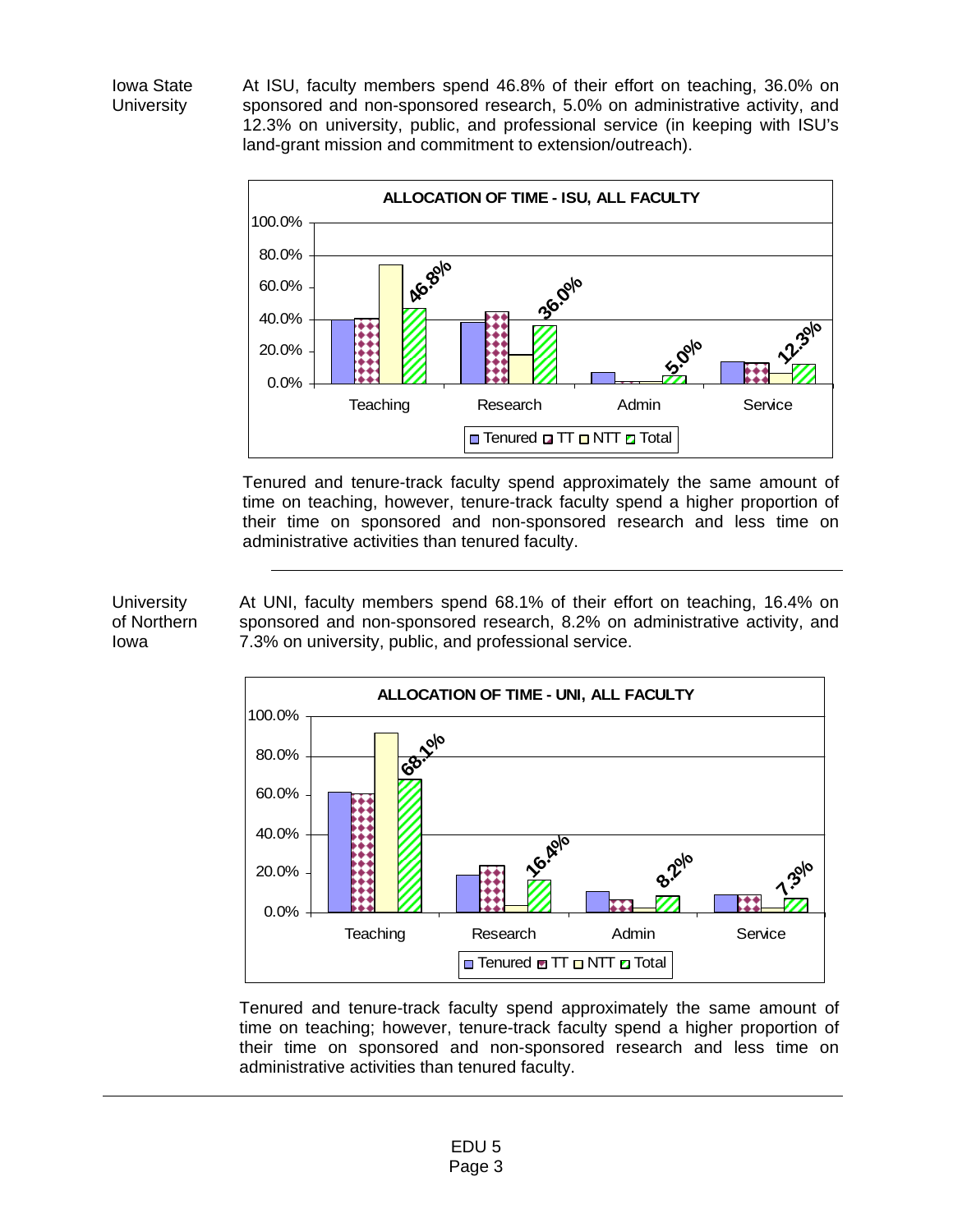Iowa State **University** 

At ISU, faculty members spend 46.8% of their effort on teaching, 36.0% on sponsored and non-sponsored research, 5.0% on administrative activity, and 12.3% on university, public, and professional service (in keeping with ISU's land-grant mission and commitment to extension/outreach).



Tenured and tenure-track faculty spend approximately the same amount of time on teaching, however, tenure-track faculty spend a higher proportion of their time on sponsored and non-sponsored research and less time on administrative activities than tenured faculty.

At UNI, faculty members spend 68.1% of their effort on teaching, 16.4% on sponsored and non-sponsored research, 8.2% on administrative activity, and 7.3% on university, public, and professional service.



Tenured and tenure-track faculty spend approximately the same amount of time on teaching; however, tenure-track faculty spend a higher proportion of their time on sponsored and non-sponsored research and less time on administrative activities than tenured faculty.

**University** of Northern Iowa

> EDU 5 Page 3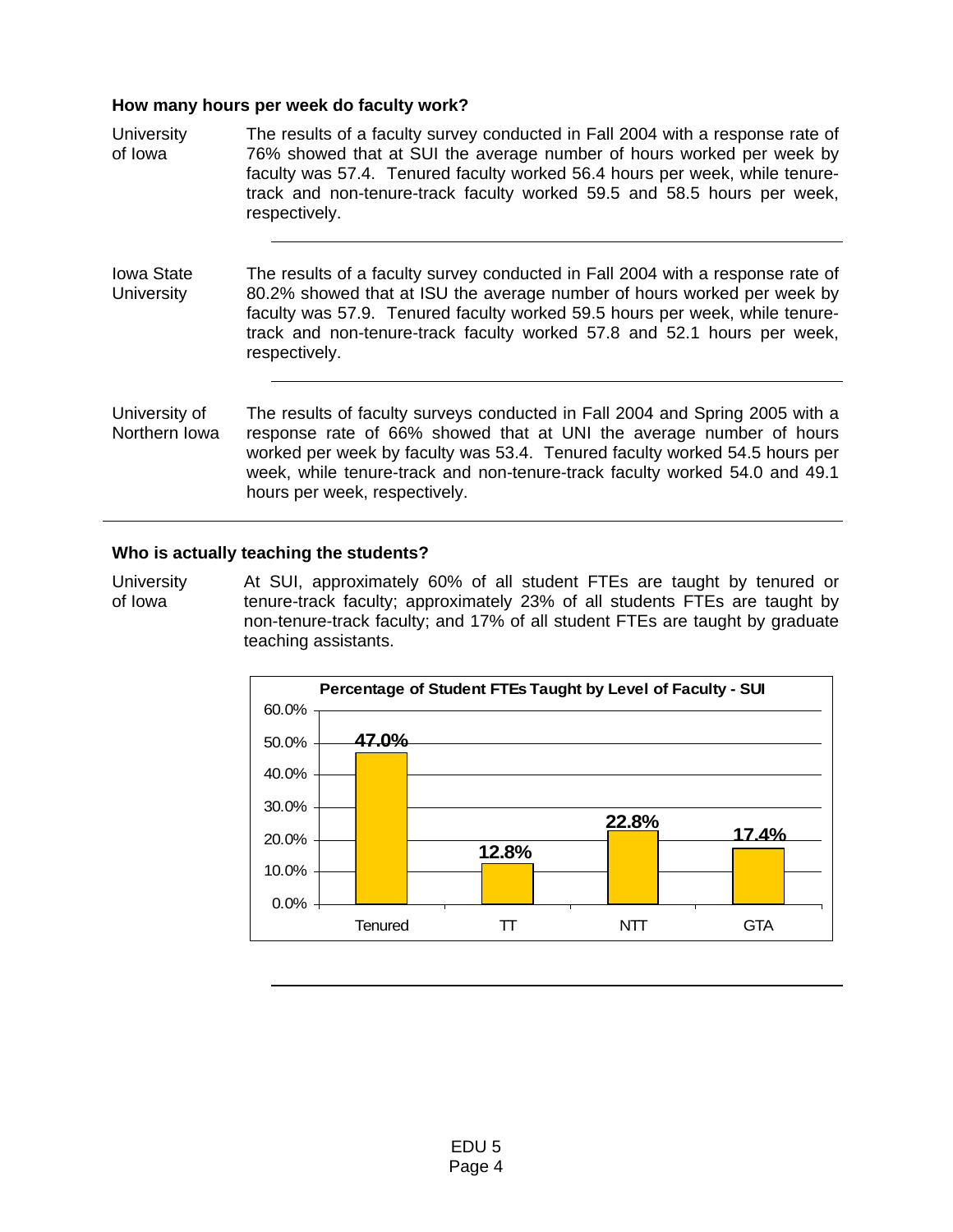#### **How many hours per week do faculty work?**

**University** of Iowa The results of a faculty survey conducted in Fall 2004 with a response rate of 76% showed that at SUI the average number of hours worked per week by faculty was 57.4. Tenured faculty worked 56.4 hours per week, while tenuretrack and non-tenure-track faculty worked 59.5 and 58.5 hours per week, respectively. Iowa State **University** The results of a faculty survey conducted in Fall 2004 with a response rate of 80.2% showed that at ISU the average number of hours worked per week by faculty was 57.9. Tenured faculty worked 59.5 hours per week, while tenuretrack and non-tenure-track faculty worked 57.8 and 52.1 hours per week, respectively. University of Northern Iowa The results of faculty surveys conducted in Fall 2004 and Spring 2005 with a response rate of 66% showed that at UNI the average number of hours worked per week by faculty was 53.4. Tenured faculty worked 54.5 hours per week, while tenure-track and non-tenure-track faculty worked 54.0 and 49.1 hours per week, respectively.

### **Who is actually teaching the students?**

**University** of Iowa At SUI, approximately 60% of all student FTEs are taught by tenured or tenure-track faculty; approximately 23% of all students FTEs are taught by non-tenure-track faculty; and 17% of all student FTEs are taught by graduate teaching assistants.

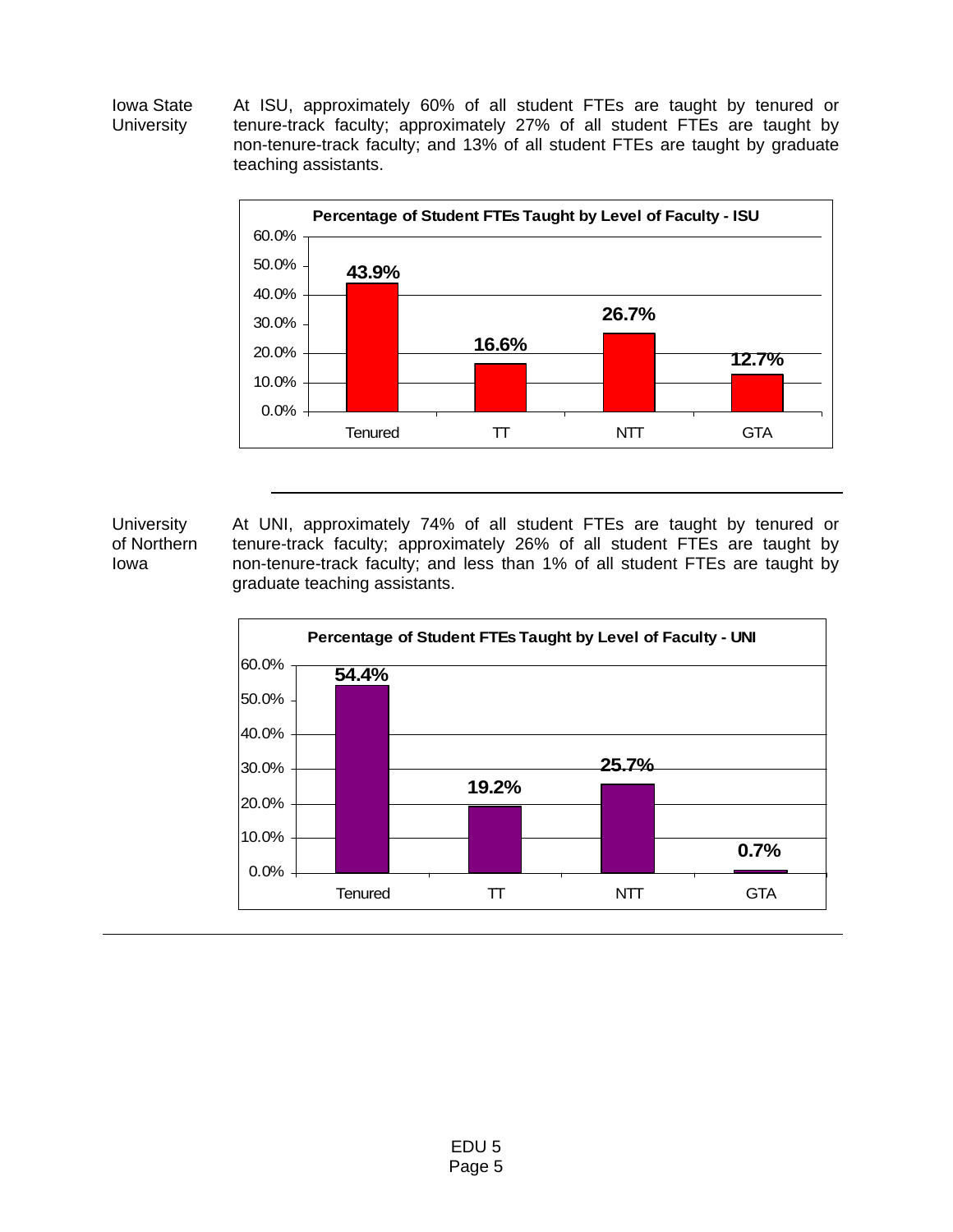Iowa State **University** At ISU, approximately 60% of all student FTEs are taught by tenured or tenure-track faculty; approximately 27% of all student FTEs are taught by non-tenure-track faculty; and 13% of all student FTEs are taught by graduate teaching assistants.



**University** of Northern Iowa At UNI, approximately 74% of all student FTEs are taught by tenured or tenure-track faculty; approximately 26% of all student FTEs are taught by non-tenure-track faculty; and less than 1% of all student FTEs are taught by graduate teaching assistants.

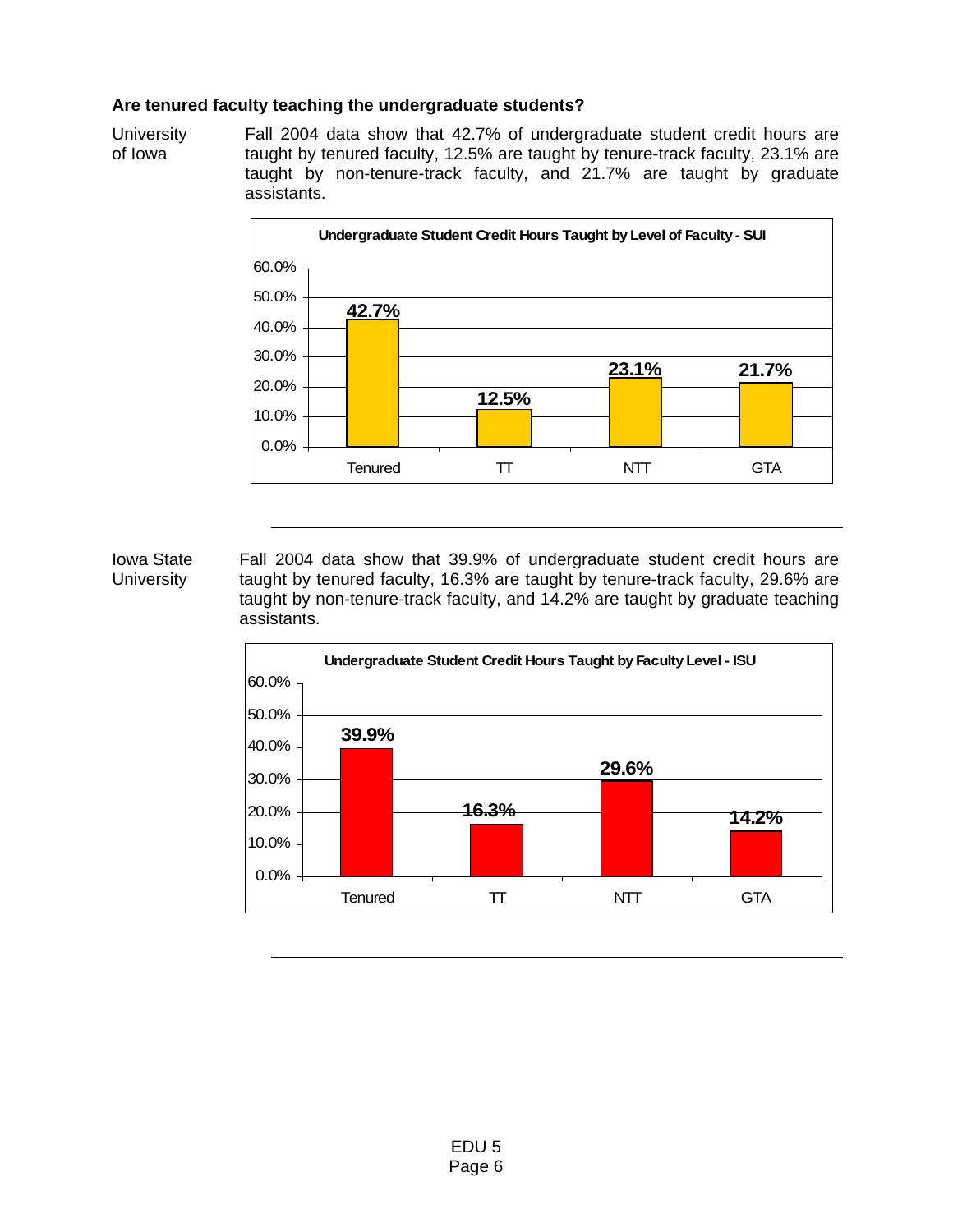### **Are tenured faculty teaching the undergraduate students?**

**University** of Iowa Fall 2004 data show that 42.7% of undergraduate student credit hours are taught by tenured faculty, 12.5% are taught by tenure-track faculty, 23.1% are taught by non-tenure-track faculty, and 21.7% are taught by graduate assistants.



#### Iowa State **University** Fall 2004 data show that 39.9% of undergraduate student credit hours are taught by tenured faculty, 16.3% are taught by tenure-track faculty, 29.6% are taught by non-tenure-track faculty, and 14.2% are taught by graduate teaching assistants.

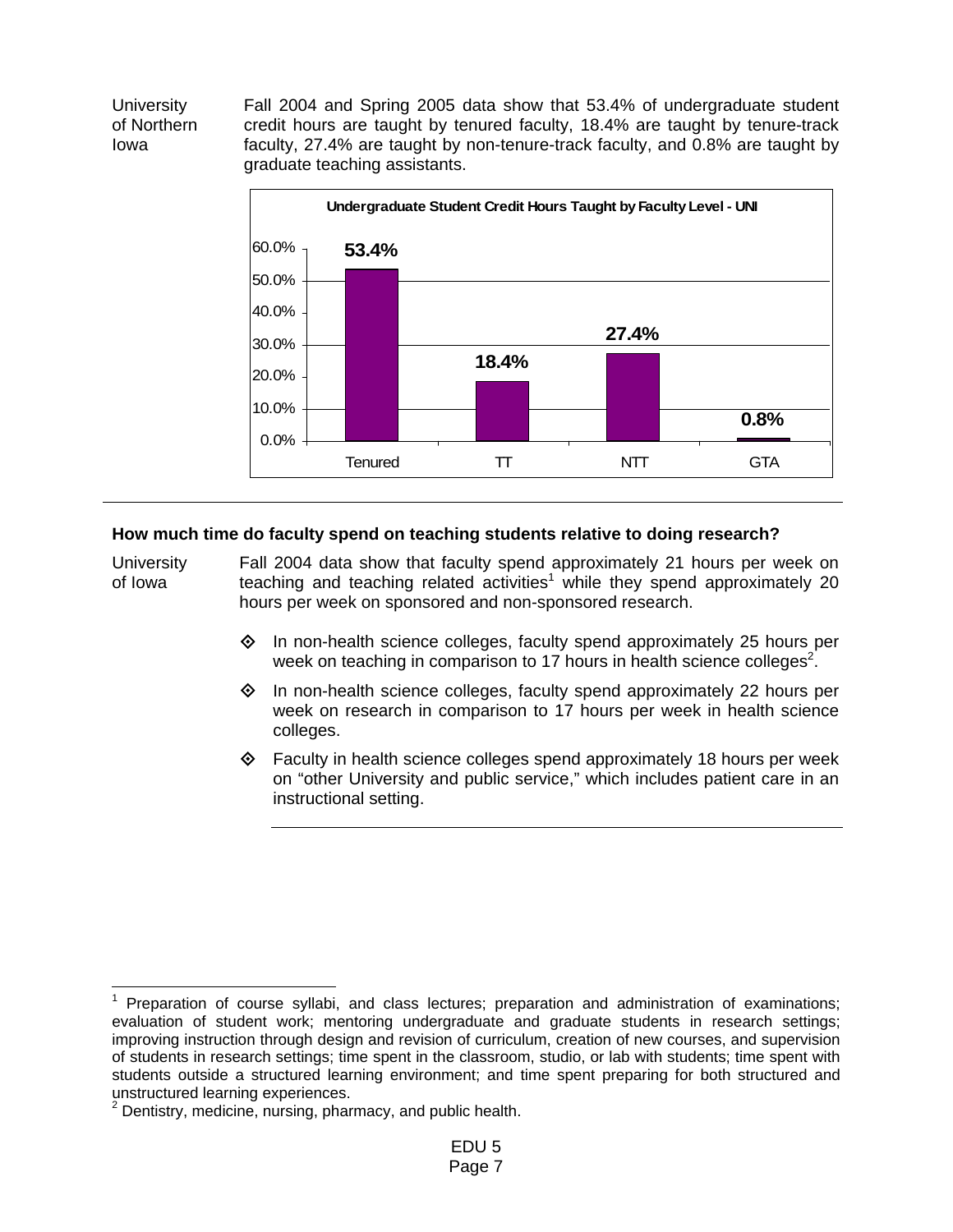**University** of Northern Iowa Fall 2004 and Spring 2005 data show that 53.4% of undergraduate student credit hours are taught by tenured faculty, 18.4% are taught by tenure-track faculty, 27.4% are taught by non-tenure-track faculty, and 0.8% are taught by graduate teaching assistants.



# **How much time do faculty spend on teaching students relative to doing research?**

**University** of Iowa Fall 2004 data show that faculty spend approximately 21 hours per week on teaching and teaching related activities<sup>1</sup> while they spend approximately 20 hours per week on sponsored and non-sponsored research.

- $\Diamond$  In non-health science colleges, faculty spend approximately 25 hours per week on teaching in comparison to 17 hours in health science colleges<sup>2</sup>.
- In non-health science colleges, faculty spend approximately 22 hours per week on research in comparison to 17 hours per week in health science colleges.
- $\diamond$  Faculty in health science colleges spend approximately 18 hours per week on "other University and public service," which includes patient care in an instructional setting.

 1 Preparation of course syllabi, and class lectures; preparation and administration of examinations; evaluation of student work; mentoring undergraduate and graduate students in research settings; improving instruction through design and revision of curriculum, creation of new courses, and supervision of students in research settings; time spent in the classroom, studio, or lab with students; time spent with students outside a structured learning environment; and time spent preparing for both structured and unstructured learning experiences.<br><sup>2</sup> Dentistry, medicine, nursing, pharmacy, and public health.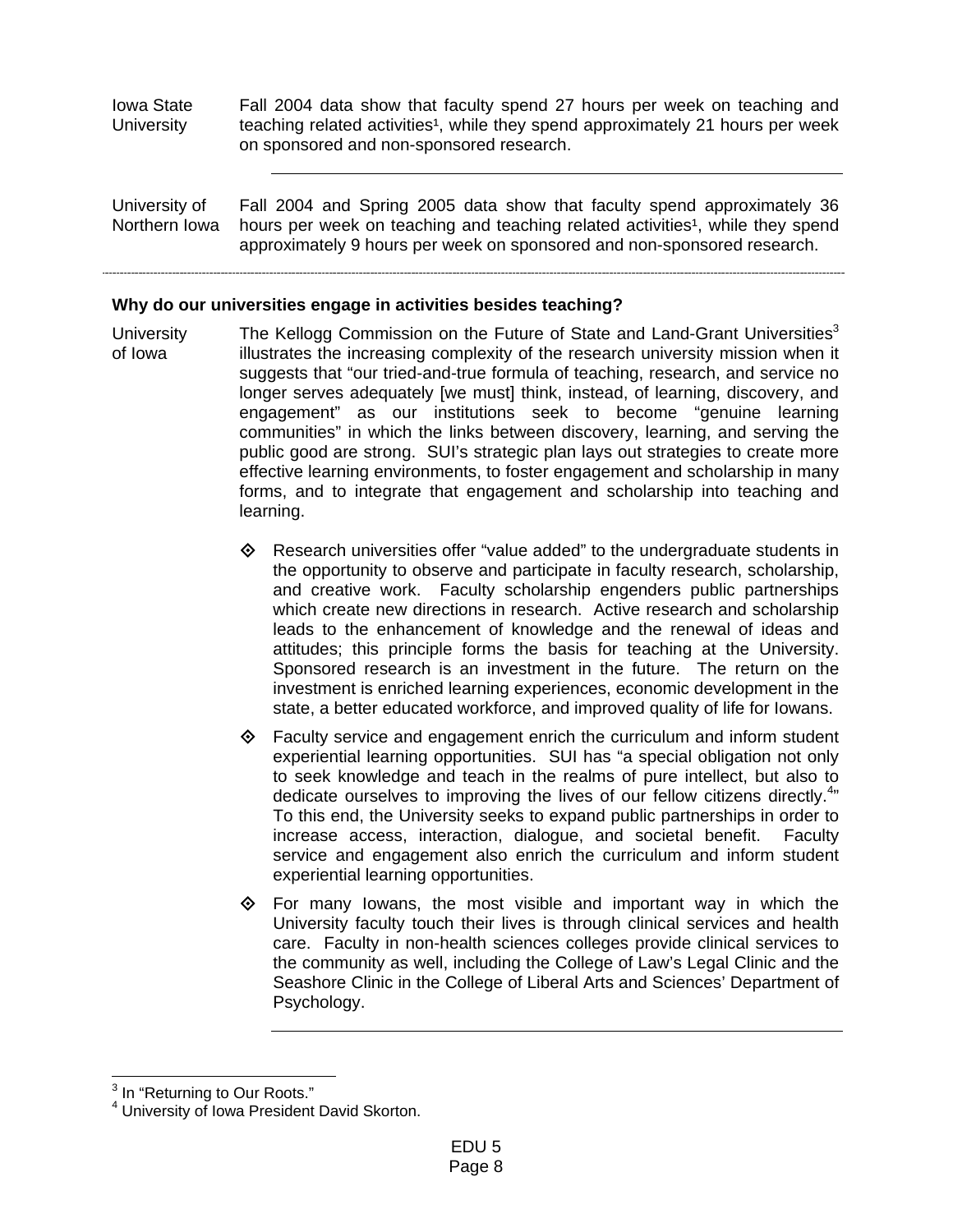Iowa State **University** Fall 2004 data show that faculty spend 27 hours per week on teaching and teaching related activities<sup>1</sup>, while they spend approximately 21 hours per week on sponsored and non-sponsored research.

University of Northern Iowa Fall 2004 and Spring 2005 data show that faculty spend approximately 36 hours per week on teaching and teaching related activities<sup>1</sup>, while they spend approximately 9 hours per week on sponsored and non-sponsored research.

## **Why do our universities engage in activities besides teaching?**

- **University** of Iowa The Kellogg Commission on the Future of State and Land-Grant Universities $3$ illustrates the increasing complexity of the research university mission when it suggests that "our tried-and-true formula of teaching, research, and service no longer serves adequately [we must] think, instead, of learning, discovery, and engagement" as our institutions seek to become "genuine learning communities" in which the links between discovery, learning, and serving the public good are strong. SUI's strategic plan lays out strategies to create more effective learning environments, to foster engagement and scholarship in many forms, and to integrate that engagement and scholarship into teaching and learning.
	- $\diamond$  Research universities offer "value added" to the undergraduate students in the opportunity to observe and participate in faculty research, scholarship, and creative work. Faculty scholarship engenders public partnerships which create new directions in research. Active research and scholarship leads to the enhancement of knowledge and the renewal of ideas and attitudes; this principle forms the basis for teaching at the University. Sponsored research is an investment in the future. The return on the investment is enriched learning experiences, economic development in the state, a better educated workforce, and improved quality of life for Iowans.
	- $\Diamond$  Faculty service and engagement enrich the curriculum and inform student experiential learning opportunities. SUI has "a special obligation not only to seek knowledge and teach in the realms of pure intellect, but also to dedicate ourselves to improving the lives of our fellow citizens directly. $4$ <sup>th</sup> To this end, the University seeks to expand public partnerships in order to increase access, interaction, dialogue, and societal benefit. Faculty service and engagement also enrich the curriculum and inform student experiential learning opportunities.
	- $\Leftrightarrow$  For many lowans, the most visible and important way in which the University faculty touch their lives is through clinical services and health care. Faculty in non-health sciences colleges provide clinical services to the community as well, including the College of Law's Legal Clinic and the Seashore Clinic in the College of Liberal Arts and Sciences' Department of Psychology.

 3 In "Returning to Our Roots."

<sup>4</sup> University of Iowa President David Skorton.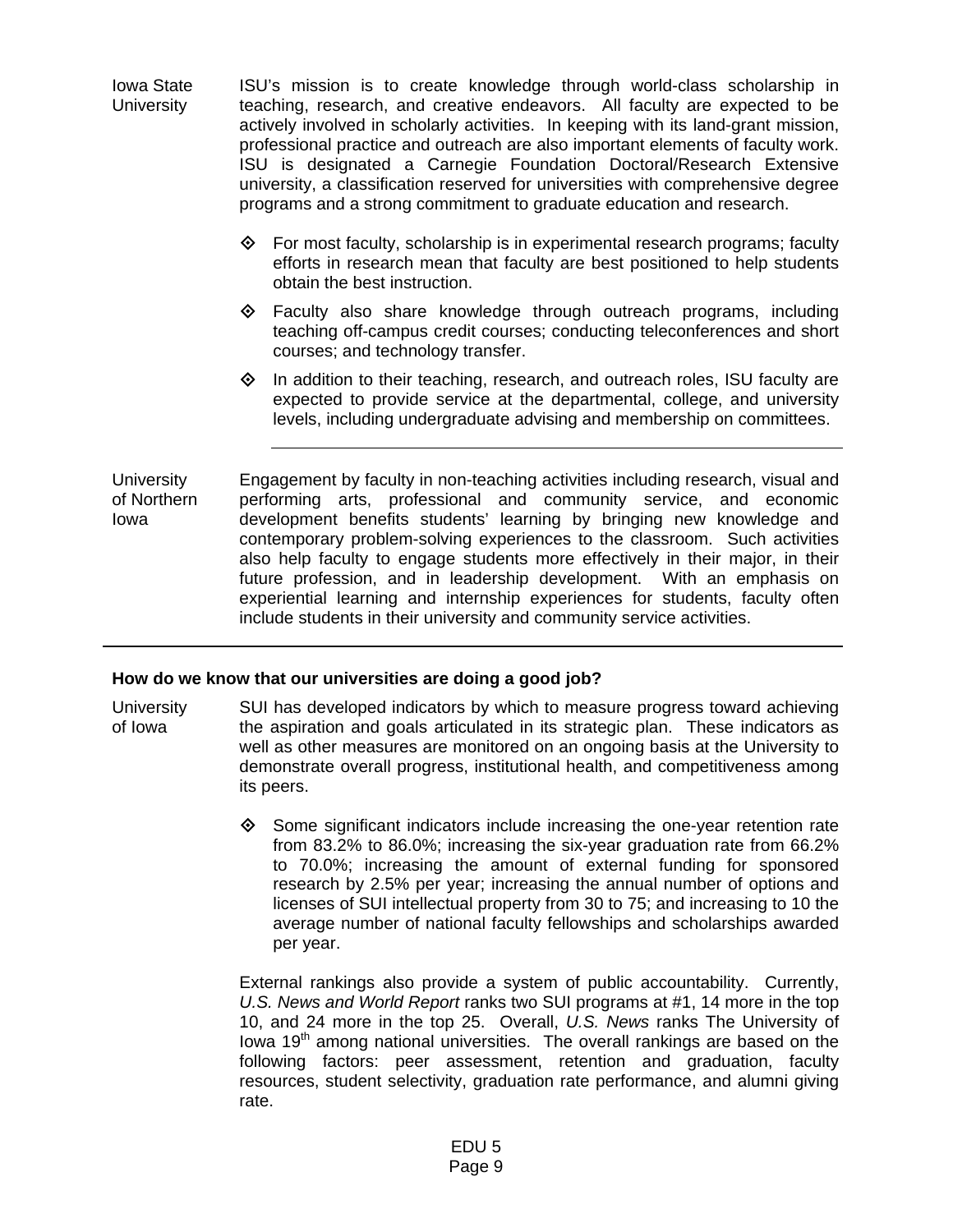Iowa State **University** ISU's mission is to create knowledge through world-class scholarship in teaching, research, and creative endeavors. All faculty are expected to be actively involved in scholarly activities. In keeping with its land-grant mission, professional practice and outreach are also important elements of faculty work. ISU is designated a Carnegie Foundation Doctoral/Research Extensive university, a classification reserved for universities with comprehensive degree programs and a strong commitment to graduate education and research.

- $\diamond$  For most faculty, scholarship is in experimental research programs; faculty efforts in research mean that faculty are best positioned to help students obtain the best instruction.
- $\Leftrightarrow$  Faculty also share knowledge through outreach programs, including teaching off-campus credit courses; conducting teleconferences and short courses; and technology transfer.
- $\diamond$  In addition to their teaching, research, and outreach roles, ISU faculty are expected to provide service at the departmental, college, and university levels, including undergraduate advising and membership on committees.

**University** of Northern Iowa Engagement by faculty in non-teaching activities including research, visual and performing arts, professional and community service, and economic development benefits students' learning by bringing new knowledge and contemporary problem-solving experiences to the classroom. Such activities also help faculty to engage students more effectively in their major, in their future profession, and in leadership development. With an emphasis on experiential learning and internship experiences for students, faculty often include students in their university and community service activities.

# **How do we know that our universities are doing a good job?**

**University** of Iowa SUI has developed indicators by which to measure progress toward achieving the aspiration and goals articulated in its strategic plan. These indicators as well as other measures are monitored on an ongoing basis at the University to demonstrate overall progress, institutional health, and competitiveness among its peers.

> $\diamond$  Some significant indicators include increasing the one-year retention rate from 83.2% to 86.0%; increasing the six-year graduation rate from 66.2% to 70.0%; increasing the amount of external funding for sponsored research by 2.5% per year; increasing the annual number of options and licenses of SUI intellectual property from 30 to 75; and increasing to 10 the average number of national faculty fellowships and scholarships awarded per year.

> External rankings also provide a system of public accountability. Currently, *U.S. News and World Report* ranks two SUI programs at #1, 14 more in the top 10, and 24 more in the top 25. Overall, *U.S. News* ranks The University of Iowa  $19<sup>th</sup>$  among national universities. The overall rankings are based on the following factors: peer assessment, retention and graduation, faculty resources, student selectivity, graduation rate performance, and alumni giving rate.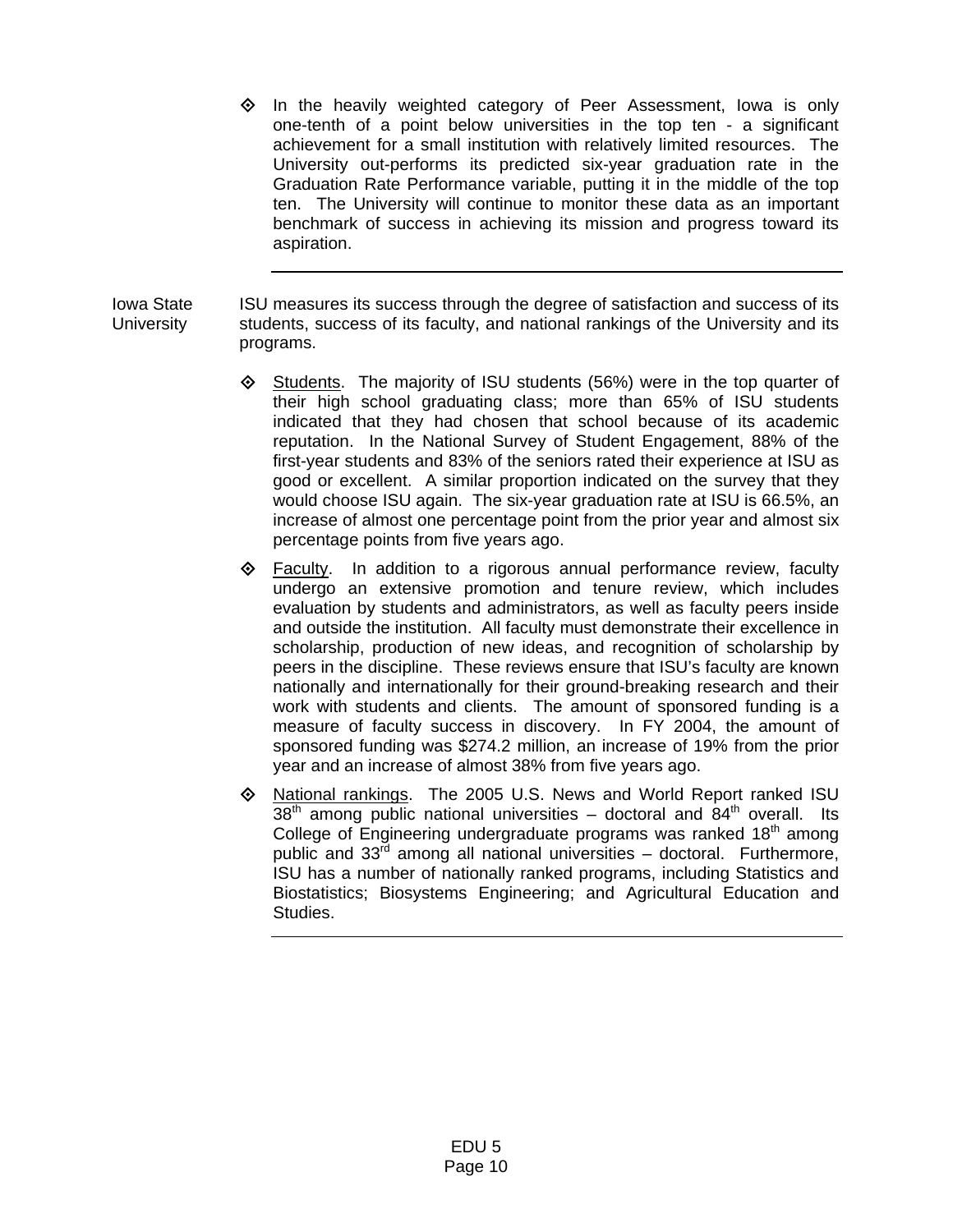$\diamond$  In the heavily weighted category of Peer Assessment, lowa is only one-tenth of a point below universities in the top ten - a significant achievement for a small institution with relatively limited resources. The University out-performs its predicted six-year graduation rate in the Graduation Rate Performance variable, putting it in the middle of the top ten. The University will continue to monitor these data as an important benchmark of success in achieving its mission and progress toward its aspiration.

Iowa State **University** ISU measures its success through the degree of satisfaction and success of its students, success of its faculty, and national rankings of the University and its programs.

- $\Diamond$  Students. The majority of ISU students (56%) were in the top quarter of their high school graduating class; more than 65% of ISU students indicated that they had chosen that school because of its academic reputation. In the National Survey of Student Engagement, 88% of the first-year students and 83% of the seniors rated their experience at ISU as good or excellent. A similar proportion indicated on the survey that they would choose ISU again. The six-year graduation rate at ISU is 66.5%, an increase of almost one percentage point from the prior year and almost six percentage points from five years ago.
- $\Leftrightarrow$  Faculty. In addition to a rigorous annual performance review, faculty undergo an extensive promotion and tenure review, which includes evaluation by students and administrators, as well as faculty peers inside and outside the institution. All faculty must demonstrate their excellence in scholarship, production of new ideas, and recognition of scholarship by peers in the discipline. These reviews ensure that ISU's faculty are known nationally and internationally for their ground-breaking research and their work with students and clients. The amount of sponsored funding is a measure of faculty success in discovery. In FY 2004, the amount of sponsored funding was \$274.2 million, an increase of 19% from the prior year and an increase of almost 38% from five years ago.
- $\Diamond$  National rankings. The 2005 U.S. News and World Report ranked ISU  $38<sup>th</sup>$  among public national universities – doctoral and  $84<sup>th</sup>$  overall. Its College of Engineering undergraduate programs was ranked 18<sup>th</sup> among public and  $33<sup>rd</sup>$  among all national universities – doctoral. Furthermore, ISU has a number of nationally ranked programs, including Statistics and Biostatistics; Biosystems Engineering; and Agricultural Education and Studies.